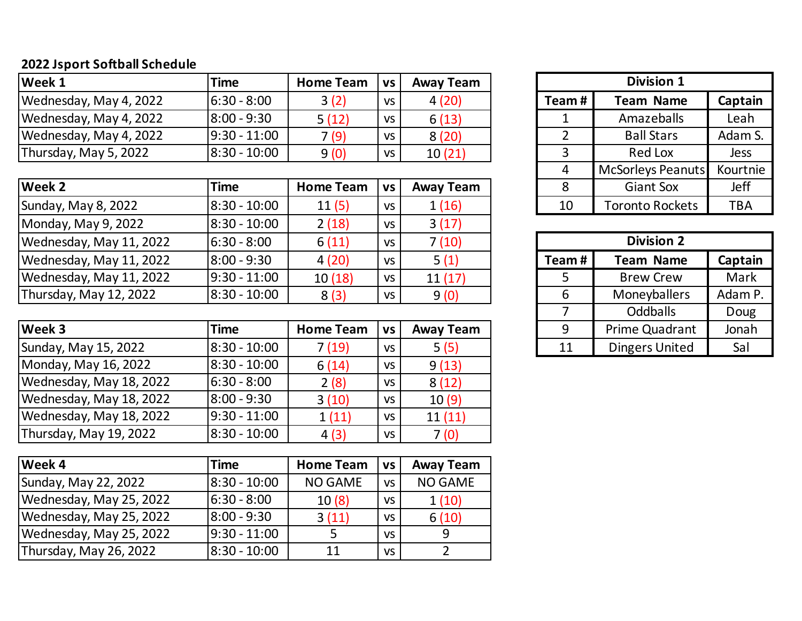## **2022 Jsport Softball Schedule**

| Week 1                 | Time             | <b>Home Team</b> | <b>VS</b> | <b>Away Team</b> | <b>Division 1</b> |                   |         |
|------------------------|------------------|------------------|-----------|------------------|-------------------|-------------------|---------|
| Wednesday, May 4, 2022 | $ 6:30 - 8:00 $  | 3(2)             | VS        | 4(20)            | Team#             | <b>Team Name</b>  | Captain |
| Wednesday, May 4, 2022 | $ 8:00 - 9:30 $  | 5(12)            | VS        | 6(13)            |                   | Amazeballs        | Leah    |
| Wednesday, May 4, 2022 | $ 9:30 - 11:00 $ | 7(9)             | <b>VS</b> | 8(20)            |                   | <b>Ball Stars</b> | Adam S. |
| Thursday, May 5, 2022  | $ 8:30 - 10:00 $ | 9(0)             | VS        | 10(21)           |                   | <b>Red Lox</b>    | Jess    |

| Week 2                  | Time           | <b>Home Team</b> | VS        | <b>Away Team</b> |                   | <b>Giant Sox</b>       | Jeff       |  |
|-------------------------|----------------|------------------|-----------|------------------|-------------------|------------------------|------------|--|
| Sunday, May 8, 2022     | 8:30 - 10:00   | 11(5)            | <b>VS</b> | 1(16)            | 10                | <b>Toronto Rockets</b> | <b>TBA</b> |  |
| Monday, May 9, 2022     | 8:30 - 10:00   | 2(18)            | VS        | 3(17)            |                   |                        |            |  |
| Wednesday, May 11, 2022 | $6:30 - 8:00$  | 6(11)            | <b>VS</b> | 7(10)            | <b>Division 2</b> |                        |            |  |
| Wednesday, May 11, 2022 | $8:00 - 9:30$  | 4(20)            | VS        | 5(1)             | Team#             | <b>Team Name</b>       | Captain    |  |
| Wednesday, May 11, 2022 | $9:30 - 11:00$ | 10(18)           | <b>VS</b> | 11(17)           |                   | <b>Brew Crew</b>       | Mark       |  |
| Thursday, May 12, 2022  | 8:30 - 10:00   | 8(3)             | <b>VS</b> | 9(0)             |                   | Moneyballers           | Adam P.    |  |
|                         |                |                  |           |                  |                   |                        |            |  |

| Week 3                  | Time           | <b>Home Team</b> | <b>VS</b> | <b>Away Team</b> |    | Prime Quadrant | Jonah |
|-------------------------|----------------|------------------|-----------|------------------|----|----------------|-------|
| Sunday, May 15, 2022    | 8:30 - 10:00   | 7(19)            | VS        | 5(5)             | 11 | Dingers United | Sal   |
| Monday, May 16, 2022    | 8:30 - 10:00   | 6(14)            | <b>VS</b> | 9(13)            |    |                |       |
| Wednesday, May 18, 2022 | $6:30 - 8:00$  | 2(8)             | <b>VS</b> | 8(12)            |    |                |       |
| Wednesday, May 18, 2022 | $8:00 - 9:30$  | 3(10)            | <b>VS</b> | 10(9)            |    |                |       |
| Wednesday, May 18, 2022 | $9:30 - 11:00$ | 1(11)            | <b>VS</b> | 11(11)           |    |                |       |
| Thursday, May 19, 2022  | 8:30 - 10:00   | 4(3)             | VS        | 7(0)             |    |                |       |

| Week 4                  | <b>Time</b>    | <b>Home Team</b> | <b>VS</b> | <b>Away Team</b> |
|-------------------------|----------------|------------------|-----------|------------------|
| Sunday, May 22, 2022    | 18:30 - 10:00  | <b>NO GAME</b>   | <b>VS</b> | <b>NO GAME</b>   |
| Wednesday, May 25, 2022 | $6:30 - 8:00$  | 10(8)            | VS.       | 1(10)            |
| Wednesday, May 25, 2022 | $8:00 - 9:30$  | 3(11)            | VS.       | 6(10)            |
| Wednesday, May 25, 2022 | $9:30 - 11:00$ | 5                | <b>VS</b> | 9                |
| Thursday, May 26, 2022  | 8:30 - 10:00   | 11               | VS.       |                  |

| <b>Division 1</b> |                        |             |  |  |  |  |  |
|-------------------|------------------------|-------------|--|--|--|--|--|
| Team#             | Captain                |             |  |  |  |  |  |
|                   | Amazeballs             | Leah        |  |  |  |  |  |
| 2                 | <b>Ball Stars</b>      | Adam S.     |  |  |  |  |  |
| 3                 | <b>Red Lox</b>         | <b>Jess</b> |  |  |  |  |  |
|                   | McSorleys Peanuts      | Kourtnie    |  |  |  |  |  |
| 8                 | <b>Giant Sox</b>       | Jeff        |  |  |  |  |  |
| 10                | <b>Toronto Rockets</b> | <b>TBA</b>  |  |  |  |  |  |

| <b>Division 2</b> |                       |         |  |  |  |  |  |
|-------------------|-----------------------|---------|--|--|--|--|--|
| Team#             | Captain               |         |  |  |  |  |  |
|                   | <b>Brew Crew</b>      | Mark    |  |  |  |  |  |
|                   | Moneyballers          | Adam P. |  |  |  |  |  |
|                   | Oddballs              | Doug    |  |  |  |  |  |
|                   | Prime Quadrant        | Jonah   |  |  |  |  |  |
| 11                | <b>Dingers United</b> | Sal     |  |  |  |  |  |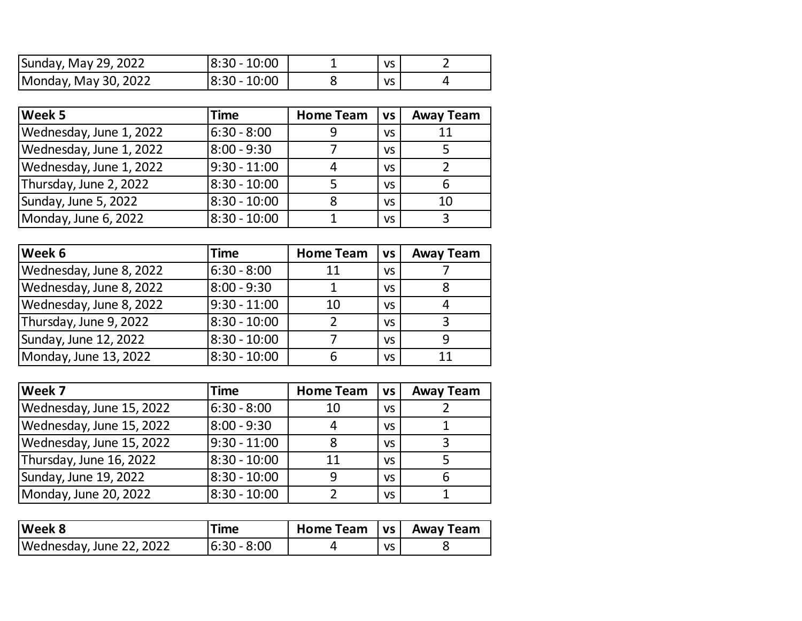| Sunday, May 29, 2022 | 8:30 - 10:00     | VS        |  |
|----------------------|------------------|-----------|--|
| Monday, May 30, 2022 | $ 8:30 - 10:00 $ | <b>VS</b> |  |

| Week 5                  | <b>Time</b>    | <b>Home Team</b> | <b>VS</b> | <b>Away Team</b> |
|-------------------------|----------------|------------------|-----------|------------------|
| Wednesday, June 1, 2022 | $6:30 - 8:00$  | 9                | VS.       | 11               |
| Wednesday, June 1, 2022 | $8:00 - 9:30$  |                  | VS.       |                  |
| Wednesday, June 1, 2022 | $9:30 - 11:00$ | 4                | VS.       |                  |
| Thursday, June 2, 2022  | $8:30 - 10:00$ | 5                | <b>VS</b> |                  |
| Sunday, June 5, 2022    | $8:30 - 10:00$ | 8                | <b>VS</b> | 10               |
| Monday, June 6, 2022    | $8:30 - 10:00$ |                  | <b>VS</b> | 3                |

| Week 6                  | <b>Time</b>    | <b>Home Team</b> | <b>VS</b> | <b>Away Team</b> |
|-------------------------|----------------|------------------|-----------|------------------|
| Wednesday, June 8, 2022 | $6:30 - 8:00$  | 11               | <b>VS</b> |                  |
| Wednesday, June 8, 2022 | 8:00 - 9:30    |                  | VS.       |                  |
| Wednesday, June 8, 2022 | $9:30 - 11:00$ | 10               | <b>VS</b> | 4                |
| Thursday, June 9, 2022  | $8:30 - 10:00$ | ר                | <b>VS</b> | 3                |
| Sunday, June 12, 2022   | $8:30 - 10:00$ |                  | <b>VS</b> |                  |
| Monday, June 13, 2022   | $8:30 - 10:00$ | 6                | VS        | 11               |

| Week 7                   | Time           | <b>Home Team</b> | <b>VS</b> | <b>Away Team</b> |
|--------------------------|----------------|------------------|-----------|------------------|
| Wednesday, June 15, 2022 | $6:30 - 8:00$  | 10               | VS.       |                  |
| Wednesday, June 15, 2022 | $8:00 - 9:30$  | 4                | <b>VS</b> |                  |
| Wednesday, June 15, 2022 | $9:30 - 11:00$ | 8                | <b>VS</b> |                  |
| Thursday, June 16, 2022  | $8:30 - 10:00$ | 11               | <b>VS</b> |                  |
| Sunday, June 19, 2022    | $8:30 - 10:00$ | 9                | <b>VS</b> | 6                |
| Monday, June 20, 2022    | $8:30 - 10:00$ |                  | <b>VS</b> |                  |

| <b>Week 8</b>            | Time        | <b>Home Team</b> | l vs l | <b>Away Team</b> |
|--------------------------|-------------|------------------|--------|------------------|
| Wednesday, June 22, 2022 | 6:30 - 8:00 |                  | VS     |                  |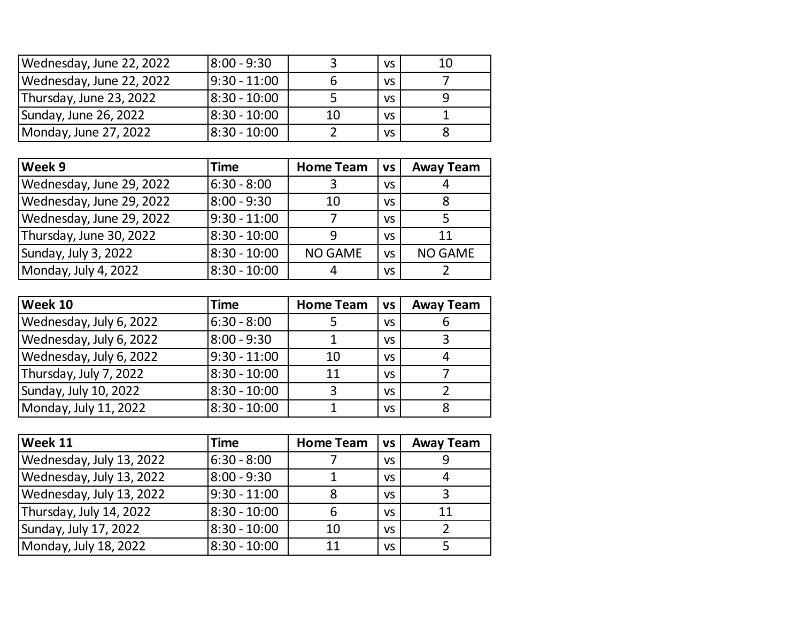| Wednesday, June 22, 2022 | 8:00 - 9:30    |    | VS.       | 10 |
|--------------------------|----------------|----|-----------|----|
| Wednesday, June 22, 2022 | $9:30 - 11:00$ |    | <b>VS</b> |    |
| Thursday, June 23, 2022  | 8:30 - 10:00   |    | <b>VS</b> |    |
| Sunday, June 26, 2022    | 8:30 - 10:00   | 10 | <b>VS</b> |    |
| Monday, June 27, 2022    | 8:30 - 10:00   |    | <b>VS</b> |    |

| Week 9                   | <b>Time</b>     | <b>Home Team</b><br><b>VS</b> |           | <b>Away Team</b> |
|--------------------------|-----------------|-------------------------------|-----------|------------------|
| Wednesday, June 29, 2022 | $6:30 - 8:00$   | 3                             | <b>VS</b> | 4                |
| Wednesday, June 29, 2022 | $8:00 - 9:30$   | 10                            | <b>VS</b> | 8                |
| Wednesday, June 29, 2022 | $19:30 - 11:00$ |                               | <b>VS</b> |                  |
| Thursday, June 30, 2022  | $8:30 - 10:00$  | q                             | <b>VS</b> | 11               |
| Sunday, July 3, 2022     | 8:30 - 10:00    | <b>NO GAME</b>                | <b>VS</b> | <b>NO GAME</b>   |
| Monday, July 4, 2022     | $8:30 - 10:00$  | 4                             | VS        |                  |

| Week 10                 | <b>Time</b>    | <b>Home Team</b><br><b>VS</b> |           | <b>Away Team</b> |
|-------------------------|----------------|-------------------------------|-----------|------------------|
| Wednesday, July 6, 2022 | $6:30 - 8:00$  |                               | <b>VS</b> | 6                |
| Wednesday, July 6, 2022 | $8:00 - 9:30$  |                               | <b>VS</b> | 3                |
| Wednesday, July 6, 2022 | $9:30 - 11:00$ | 10                            | <b>VS</b> | 4                |
| Thursday, July 7, 2022  | 8:30 - 10:00   | 11                            | <b>VS</b> |                  |
| Sunday, July 10, 2022   | $8:30 - 10:00$ | 3                             | <b>VS</b> |                  |
| Monday, July 11, 2022   | 8:30 - 10:00   |                               | <b>VS</b> | 8                |

| <b>Week 11</b>           | <b>Time</b>    | <b>Home Team</b> | <b>VS</b> | <b>Away Team</b> |
|--------------------------|----------------|------------------|-----------|------------------|
| Wednesday, July 13, 2022 | $6:30 - 8:00$  |                  | <b>VS</b> |                  |
| Wednesday, July 13, 2022 | 8:00 - 9:30    |                  | <b>VS</b> | 4                |
| Wednesday, July 13, 2022 | $9:30 - 11:00$ | 8                | <b>VS</b> | 3                |
| Thursday, July 14, 2022  | $8:30 - 10:00$ | 6                | <b>VS</b> | 11               |
| Sunday, July 17, 2022    | $8:30 - 10:00$ | 10               | <b>VS</b> |                  |
| Monday, July 18, 2022    | $8:30 - 10:00$ | 11               | VS        |                  |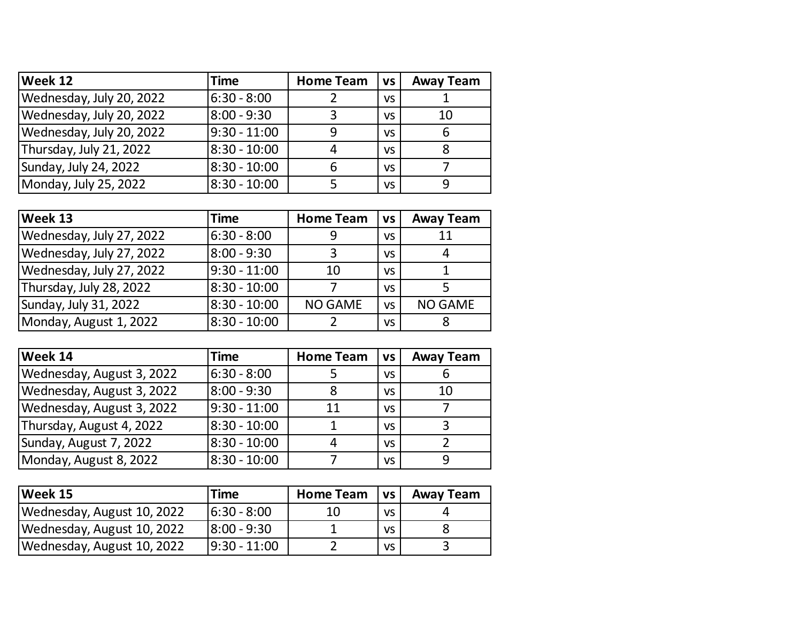| Week 12                  | <b>Time</b>    | <b>Home Team</b> | <b>VS</b> | <b>Away Team</b> |
|--------------------------|----------------|------------------|-----------|------------------|
| Wednesday, July 20, 2022 | 6:30 - 8:00    |                  | VS        |                  |
| Wednesday, July 20, 2022 | 8:00 - 9:30    | 3                | VS        | 10               |
| Wednesday, July 20, 2022 | $9:30 - 11:00$ | q                | VS        |                  |
| Thursday, July 21, 2022  | $8:30 - 10:00$ | 4                | <b>VS</b> |                  |
| Sunday, July 24, 2022    | $8:30 - 10:00$ | 6                | <b>VS</b> |                  |
| Monday, July 25, 2022    | $8:30 - 10:00$ |                  | <b>VS</b> | q                |

| Week 13                  | <b>Time</b>    | <b>Home Team</b> | <b>VS</b> | <b>Away Team</b> |
|--------------------------|----------------|------------------|-----------|------------------|
| Wednesday, July 27, 2022 | 6:30 - 8:00    | 9                | <b>VS</b> | 11               |
| Wednesday, July 27, 2022 | $8:00 - 9:30$  | 3                | <b>VS</b> | 4                |
| Wednesday, July 27, 2022 | $9:30 - 11:00$ | 10               | <b>VS</b> |                  |
| Thursday, July 28, 2022  | 8:30 - 10:00   |                  | <b>VS</b> |                  |
| Sunday, July 31, 2022    | $8:30 - 10:00$ | <b>NO GAME</b>   | <b>VS</b> | <b>NO GAME</b>   |
| Monday, August 1, 2022   | $8:30 - 10:00$ |                  | VS        |                  |

| Week 14                   | <b>Time</b>    | <b>Home Team</b> | <b>VS</b> |    |
|---------------------------|----------------|------------------|-----------|----|
| Wednesday, August 3, 2022 | 6:30 - 8:00    |                  | <b>VS</b> | b  |
| Wednesday, August 3, 2022 | $8:00 - 9:30$  | 8                | <b>VS</b> | 10 |
| Wednesday, August 3, 2022 | $9:30 - 11:00$ | 11               | <b>VS</b> |    |
| Thursday, August 4, 2022  | $8:30 - 10:00$ |                  | <b>VS</b> | 3  |
| Sunday, August 7, 2022    | $8:30 - 10:00$ | 4                | <b>VS</b> |    |
| Monday, August 8, 2022    | $8:30 - 10:00$ |                  | <b>VS</b> | 9  |

| Week 15                    | Time            | <b>Home Team</b> | <b>VS</b> | <b>Away Team</b> |
|----------------------------|-----------------|------------------|-----------|------------------|
| Wednesday, August 10, 2022 | $ 6:30 - 8:00 $ | 10               | <b>VS</b> |                  |
| Wednesday, August 10, 2022 | $8:00 - 9:30$   |                  | <b>VS</b> |                  |
| Wednesday, August 10, 2022 | $ 9:30 - 11:00$ |                  | VS        |                  |